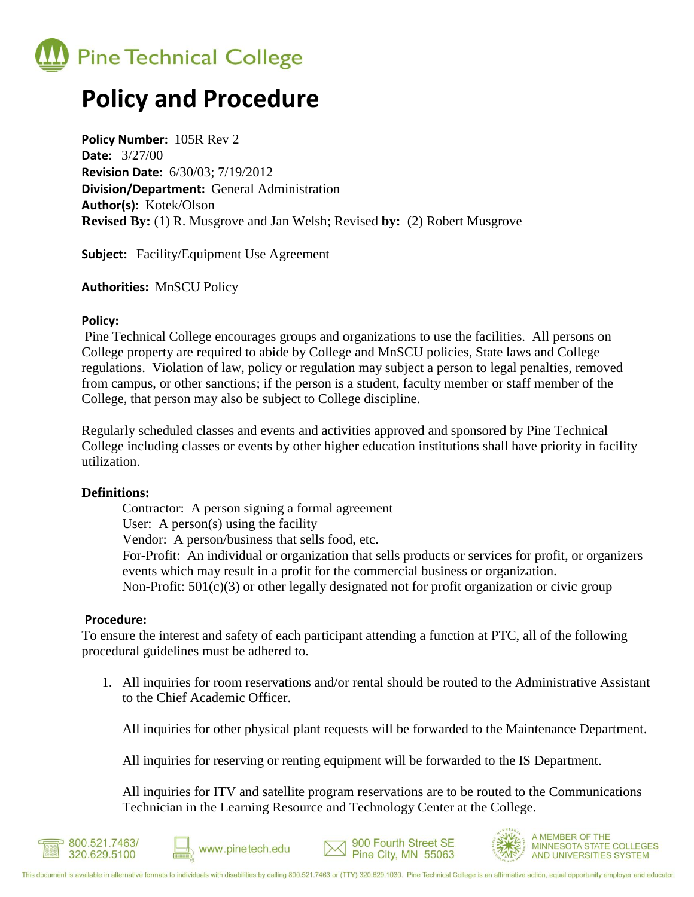

# **Policy and Procedure**

**Policy Number:** 105R Rev 2 **Date:** 3/27/00 **Revision Date:** 6/30/03; 7/19/2012 **Division/Department:** General Administration **Author(s):** Kotek/Olson **Revised By:** (1) R. Musgrove and Jan Welsh; Revised **by:** (2) Robert Musgrove

**Subject:** Facility/Equipment Use Agreement

**Authorities:** MnSCU Policy

#### **Policy:**

Pine Technical College encourages groups and organizations to use the facilities. All persons on College property are required to abide by College and MnSCU policies, State laws and College regulations. Violation of law, policy or regulation may subject a person to legal penalties, removed from campus, or other sanctions; if the person is a student, faculty member or staff member of the College, that person may also be subject to College discipline.

Regularly scheduled classes and events and activities approved and sponsored by Pine Technical College including classes or events by other higher education institutions shall have priority in facility utilization.

## **Definitions:**

Contractor: A person signing a formal agreement User: A person(s) using the facility Vendor: A person/business that sells food, etc. For-Profit: An individual or organization that sells products or services for profit, or organizers events which may result in a profit for the commercial business or organization. Non-Profit:  $501(c)(3)$  or other legally designated not for profit organization or civic group

## **Procedure:**

To ensure the interest and safety of each participant attending a function at PTC, all of the following procedural guidelines must be adhered to.

1. All inquiries for room reservations and/or rental should be routed to the Administrative Assistant to the Chief Academic Officer.

All inquiries for other physical plant requests will be forwarded to the Maintenance Department.

All inquiries for reserving or renting equipment will be forwarded to the IS Department.

All inquiries for ITV and satellite program reservations are to be routed to the Communications Technician in the Learning Resource and Technology Center at the College.









**MEMBER OF THE MINNESOTA STATE COLLEGES** AND UNIVERSITIES SYSTEM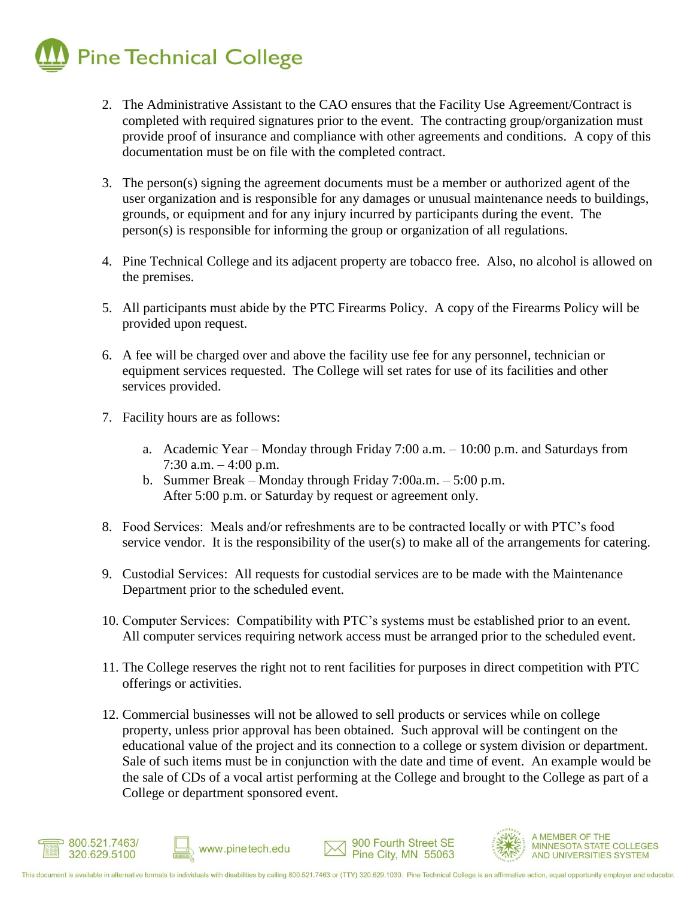

- 2. The Administrative Assistant to the CAO ensures that the Facility Use Agreement/Contract is completed with required signatures prior to the event. The contracting group/organization must provide proof of insurance and compliance with other agreements and conditions. A copy of this documentation must be on file with the completed contract.
- 3. The person(s) signing the agreement documents must be a member or authorized agent of the user organization and is responsible for any damages or unusual maintenance needs to buildings, grounds, or equipment and for any injury incurred by participants during the event. The person(s) is responsible for informing the group or organization of all regulations.
- 4. Pine Technical College and its adjacent property are tobacco free. Also, no alcohol is allowed on the premises.
- 5. All participants must abide by the PTC Firearms Policy. A copy of the Firearms Policy will be provided upon request.
- 6. A fee will be charged over and above the facility use fee for any personnel, technician or equipment services requested. The College will set rates for use of its facilities and other services provided.
- 7. Facility hours are as follows:

□ 800.521.7463/

888 320.629.5100

- a. Academic Year Monday through Friday 7:00 a.m. 10:00 p.m. and Saturdays from 7:30 a.m.  $-4:00$  p.m.
- b. Summer Break Monday through Friday 7:00a.m. 5:00 p.m. After 5:00 p.m. or Saturday by request or agreement only.
- 8. Food Services: Meals and/or refreshments are to be contracted locally or with PTC's food service vendor. It is the responsibility of the user(s) to make all of the arrangements for catering.
- 9. Custodial Services: All requests for custodial services are to be made with the Maintenance Department prior to the scheduled event.
- 10. Computer Services: Compatibility with PTC's systems must be established prior to an event. All computer services requiring network access must be arranged prior to the scheduled event.
- 11. The College reserves the right not to rent facilities for purposes in direct competition with PTC offerings or activities.
- 12. Commercial businesses will not be allowed to sell products or services while on college property, unless prior approval has been obtained. Such approval will be contingent on the educational value of the project and its connection to a college or system division or department. Sale of such items must be in conjunction with the date and time of event. An example would be the sale of CDs of a vocal artist performing at the College and brought to the College as part of a College or department sponsored event.

900 Fourth Street SE

Pine City, MN 55063



A MEMBER OF THE<br>MINNESOTA STATE COLLEGES AND UNIVERSITIES SYSTEM

www.pinetech.edu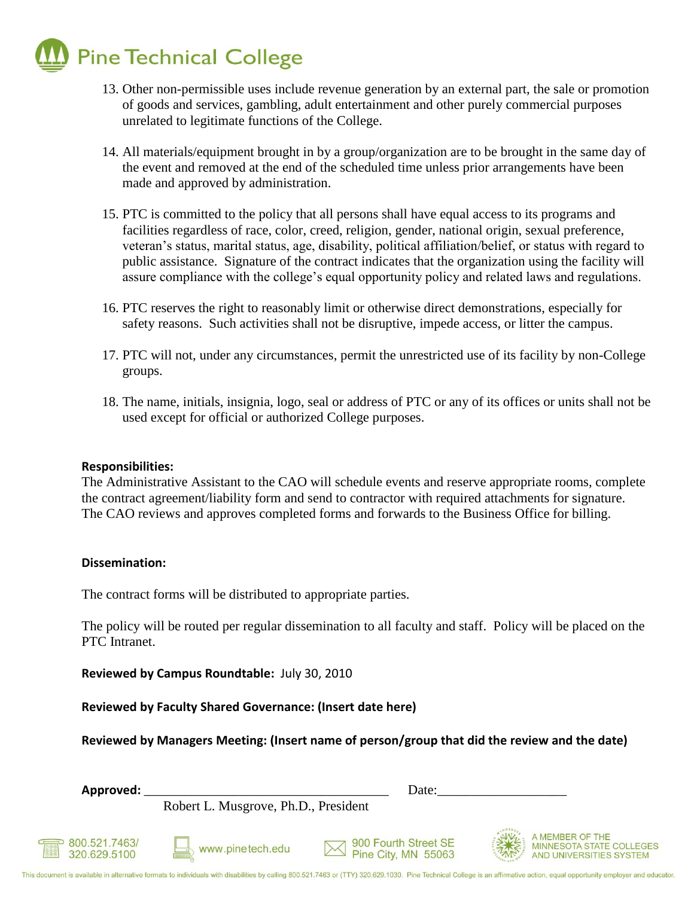

- 13. Other non-permissible uses include revenue generation by an external part, the sale or promotion of goods and services, gambling, adult entertainment and other purely commercial purposes unrelated to legitimate functions of the College.
- 14. All materials/equipment brought in by a group/organization are to be brought in the same day of the event and removed at the end of the scheduled time unless prior arrangements have been made and approved by administration.
- 15. PTC is committed to the policy that all persons shall have equal access to its programs and facilities regardless of race, color, creed, religion, gender, national origin, sexual preference, veteran's status, marital status, age, disability, political affiliation/belief, or status with regard to public assistance. Signature of the contract indicates that the organization using the facility will assure compliance with the college's equal opportunity policy and related laws and regulations.
- 16. PTC reserves the right to reasonably limit or otherwise direct demonstrations, especially for safety reasons. Such activities shall not be disruptive, impede access, or litter the campus.
- 17. PTC will not, under any circumstances, permit the unrestricted use of its facility by non-College groups.
- 18. The name, initials, insignia, logo, seal or address of PTC or any of its offices or units shall not be used except for official or authorized College purposes.

## **Responsibilities:**

The Administrative Assistant to the CAO will schedule events and reserve appropriate rooms, complete the contract agreement/liability form and send to contractor with required attachments for signature. The CAO reviews and approves completed forms and forwards to the Business Office for billing.

#### **Dissemination:**

The contract forms will be distributed to appropriate parties.

The policy will be routed per regular dissemination to all faculty and staff. Policy will be placed on the PTC Intranet.

**Reviewed by Campus Roundtable:** July 30, 2010

**Reviewed by Faculty Shared Governance: (Insert date here)**

Robert L. Musgrove, Ph.D., President

www.pinetech.edu

**Reviewed by Managers Meeting: (Insert name of person/group that did the review and the date)**

| Approved: |
|-----------|
|-----------|

 $9800.521.7463/$ 

320.629.5100

**Approved:** \_\_\_\_\_\_\_\_\_\_\_\_\_\_\_\_\_\_\_\_\_\_\_\_\_\_\_\_\_\_\_\_\_\_\_\_ Date:\_\_\_\_\_\_\_\_\_\_\_\_\_\_\_\_\_\_\_